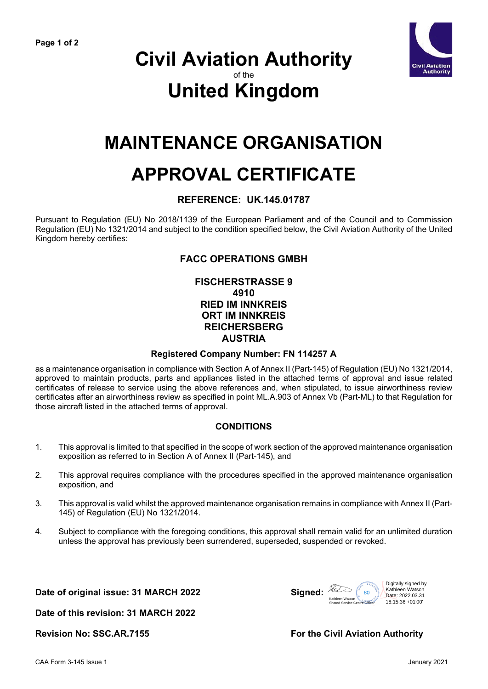

### **Civil Aviation Authority** of the **United Kingdom**

### **MAINTENANCE ORGANISATION**

# **APPROVAL CERTIFICATE**

### **REFERENCE: UK.145.01787**

Pursuant to Regulation (EU) No 2018/1139 of the European Parliament and of the Council and to Commission Regulation (EU) No 1321/2014 and subject to the condition specified below, the Civil Aviation Authority of the United Kingdom hereby certifies:

### **FACC OPERATIONS GMBH**

### **FISCHERSTRASSE 9 4910 RIED IM INNKREIS ORT IM INNKREIS REICHERSBERG AUSTRIA**

#### **Registered Company Number: FN 114257 A**

as a maintenance organisation in compliance with Section A of Annex II (Part-145) of Regulation (EU) No 1321/2014, approved to maintain products, parts and appliances listed in the attached terms of approval and issue related certificates of release to service using the above references and, when stipulated, to issue airworthiness review certificates after an airworthiness review as specified in point ML.A.903 of Annex Vb (Part-ML) to that Regulation for those aircraft listed in the attached terms of approval.

#### **CONDITIONS**

- 1. This approval is limited to that specified in the scope of work section of the approved maintenance organisation exposition as referred to in Section A of Annex II (Part-145), and
- 2. This approval requires compliance with the procedures specified in the approved maintenance organisation exposition, and
- 3. This approval is valid whilst the approved maintenance organisation remains in compliance with Annex II (Part-145) of Regulation (EU) No 1321/2014.
- 4. Subject to compliance with the foregoing conditions, this approval shall remain valid for an unlimited duration unless the approval has previously been surrendered, superseded, suspended or revoked.

Date of original issue: 31 MARCH 2022 **Signed:** 



**Date of this revision: 31 MARCH 2022**

#### **Revision No: SSC.AR.7155 For the Civil Aviation Authority**